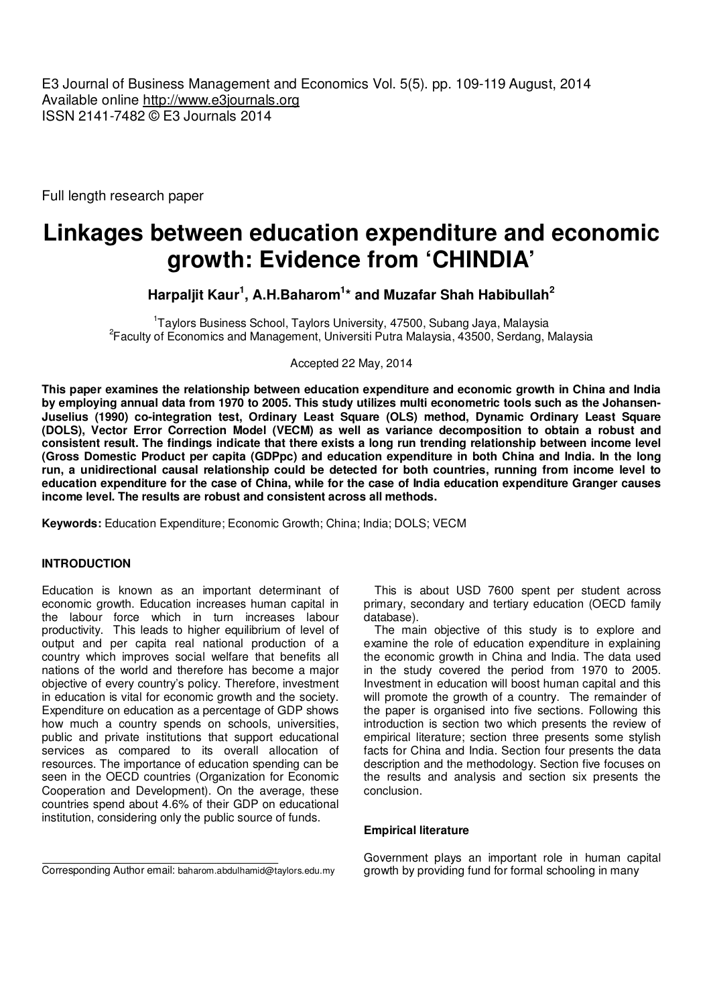E3 Journal of Business Management and Economics Vol. 5(5). pp. 109-119 August, 2014 Available online http://www.e3journals.org ISSN 2141-7482 © E3 Journals 2014

Full length research paper

# **Linkages between education expenditure and economic growth: Evidence from 'CHINDIA'**

**Harpaljit Kaur<sup>1</sup> , A.H.Baharom<sup>1</sup> \* and Muzafar Shah Habibullah<sup>2</sup>**

<sup>1</sup>Taylors Business School, Taylors University, 47500, Subang Jaya, Malaysia 2 Faculty of Economics and Management, Universiti Putra Malaysia, 43500, Serdang, Malaysia

Accepted 22 May, 2014

**This paper examines the relationship between education expenditure and economic growth in China and India by employing annual data from 1970 to 2005. This study utilizes multi econometric tools such as the Johansen-Juselius (1990) co-integration test, Ordinary Least Square (OLS) method, Dynamic Ordinary Least Square (DOLS), Vector Error Correction Model (VECM) as well as variance decomposition to obtain a robust and consistent result. The findings indicate that there exists a long run trending relationship between income level (Gross Domestic Product per capita (GDPpc) and education expenditure in both China and India. In the long run, a unidirectional causal relationship could be detected for both countries, running from income level to education expenditure for the case of China, while for the case of India education expenditure Granger causes income level. The results are robust and consistent across all methods.** 

**Keywords:** Education Expenditure; Economic Growth; China; India; DOLS; VECM

# **INTRODUCTION**

Education is known as an important determinant of economic growth. Education increases human capital in the labour force which in turn increases labour productivity. This leads to higher equilibrium of level of output and per capita real national production of a country which improves social welfare that benefits all nations of the world and therefore has become a major objective of every country's policy. Therefore, investment in education is vital for economic growth and the society. Expenditure on education as a percentage of GDP shows how much a country spends on schools, universities, public and private institutions that support educational services as compared to its overall allocation of resources. The importance of education spending can be seen in the OECD countries (Organization for Economic Cooperation and Development). On the average, these countries spend about 4.6% of their GDP on educational institution, considering only the public source of funds.

This is about USD 7600 spent per student across primary, secondary and tertiary education (OECD family database).

The main objective of this study is to explore and examine the role of education expenditure in explaining the economic growth in China and India. The data used in the study covered the period from 1970 to 2005. Investment in education will boost human capital and this will promote the growth of a country. The remainder of the paper is organised into five sections. Following this introduction is section two which presents the review of empirical literature; section three presents some stylish facts for China and India. Section four presents the data description and the methodology. Section five focuses on the results and analysis and section six presents the conclusion.

#### **Empirical literature**

Corresponding Author email: baharom.abdulhamid@taylors.edu.my

Government plays an important role in human capital growth by providing fund for formal schooling in many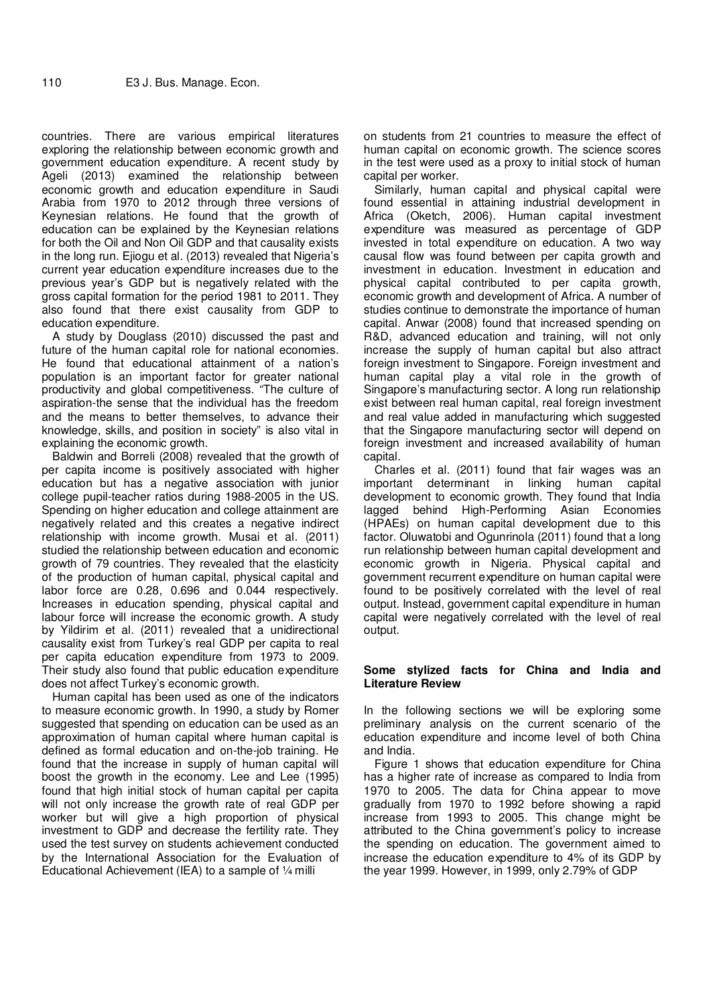countries. There are various empirical literatures exploring the relationship between economic growth and government education expenditure. A recent study by Ageli (2013) examined the relationship between economic growth and education expenditure in Saudi Arabia from 1970 to 2012 through three versions of Keynesian relations. He found that the growth of education can be explained by the Keynesian relations for both the Oil and Non Oil GDP and that causality exists in the long run. Ejiogu et al. (2013) revealed that Nigeria's current year education expenditure increases due to the previous year's GDP but is negatively related with the gross capital formation for the period 1981 to 2011. They also found that there exist causality from GDP to education expenditure.

A study by Douglass (2010) discussed the past and future of the human capital role for national economies. He found that educational attainment of a nation's population is an important factor for greater national productivity and global competitiveness. "The culture of aspiration-the sense that the individual has the freedom and the means to better themselves, to advance their knowledge, skills, and position in society" is also vital in explaining the economic growth.

Baldwin and Borreli (2008) revealed that the growth of per capita income is positively associated with higher education but has a negative association with junior college pupil-teacher ratios during 1988-2005 in the US. Spending on higher education and college attainment are negatively related and this creates a negative indirect relationship with income growth. Musai et al. (2011) studied the relationship between education and economic growth of 79 countries. They revealed that the elasticity of the production of human capital, physical capital and labor force are 0.28, 0.696 and 0.044 respectively. Increases in education spending, physical capital and labour force will increase the economic growth. A study by Yildirim et al. (2011) revealed that a unidirectional causality exist from Turkey's real GDP per capita to real per capita education expenditure from 1973 to 2009. Their study also found that public education expenditure does not affect Turkey's economic growth.

Human capital has been used as one of the indicators to measure economic growth. In 1990, a study by Romer suggested that spending on education can be used as an approximation of human capital where human capital is defined as formal education and on-the-job training. He found that the increase in supply of human capital will boost the growth in the economy. Lee and Lee (1995) found that high initial stock of human capital per capita will not only increase the growth rate of real GDP per worker but will give a high proportion of physical investment to GDP and decrease the fertility rate. They used the test survey on students achievement conducted by the International Association for the Evaluation of Educational Achievement (IEA) to a sample of  $\frac{1}{4}$  milli

on students from 21 countries to measure the effect of human capital on economic growth. The science scores in the test were used as a proxy to initial stock of human capital per worker.

Similarly, human capital and physical capital were found essential in attaining industrial development in Africa (Oketch, 2006). Human capital investment expenditure was measured as percentage of GDP invested in total expenditure on education. A two way causal flow was found between per capita growth and investment in education. Investment in education and physical capital contributed to per capita growth, economic growth and development of Africa. A number of studies continue to demonstrate the importance of human capital. Anwar (2008) found that increased spending on R&D, advanced education and training, will not only increase the supply of human capital but also attract foreign investment to Singapore. Foreign investment and human capital play a vital role in the growth of Singapore's manufacturing sector. A long run relationship exist between real human capital, real foreign investment and real value added in manufacturing which suggested that the Singapore manufacturing sector will depend on foreign investment and increased availability of human capital.

Charles et al. (2011) found that fair wages was an important determinant in linking human capital development to economic growth. They found that India lagged behind High-Performing Asian Economies (HPAEs) on human capital development due to this factor. Oluwatobi and Ogunrinola (2011) found that a long run relationship between human capital development and economic growth in Nigeria. Physical capital and government recurrent expenditure on human capital were found to be positively correlated with the level of real output. Instead, government capital expenditure in human capital were negatively correlated with the level of real output.

## **Some stylized facts for China and India and Literature Review**

In the following sections we will be exploring some preliminary analysis on the current scenario of the education expenditure and income level of both China and India.

Figure 1 shows that education expenditure for China has a higher rate of increase as compared to India from 1970 to 2005. The data for China appear to move gradually from 1970 to 1992 before showing a rapid increase from 1993 to 2005. This change might be attributed to the China government's policy to increase the spending on education. The government aimed to increase the education expenditure to 4% of its GDP by the year 1999. However, in 1999, only 2.79% of GDP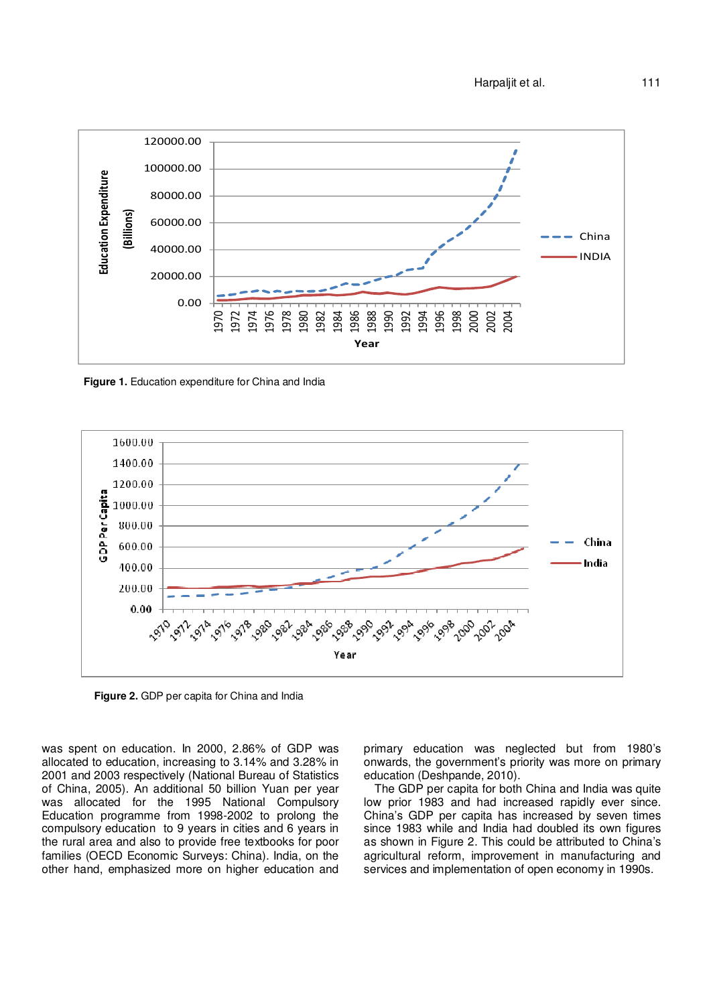

**Figure 1.** Education expenditure for China and India



**Figure 2.** GDP per capita for China and India

was spent on education. In 2000, 2.86% of GDP was allocated to education, increasing to 3.14% and 3.28% in 2001 and 2003 respectively (National Bureau of Statistics of China, 2005). An additional 50 billion Yuan per year was allocated for the 1995 National Compulsory Education programme from 1998-2002 to prolong the compulsory education to 9 years in cities and 6 years in the rural area and also to provide free textbooks for poor families (OECD Economic Surveys: China). India, on the other hand, emphasized more on higher education and primary education was neglected but from 1980's onwards, the government's priority was more on primary education (Deshpande, 2010).

The GDP per capita for both China and India was quite low prior 1983 and had increased rapidly ever since. China's GDP per capita has increased by seven times since 1983 while and India had doubled its own figures as shown in Figure 2. This could be attributed to China's agricultural reform, improvement in manufacturing and services and implementation of open economy in 1990s.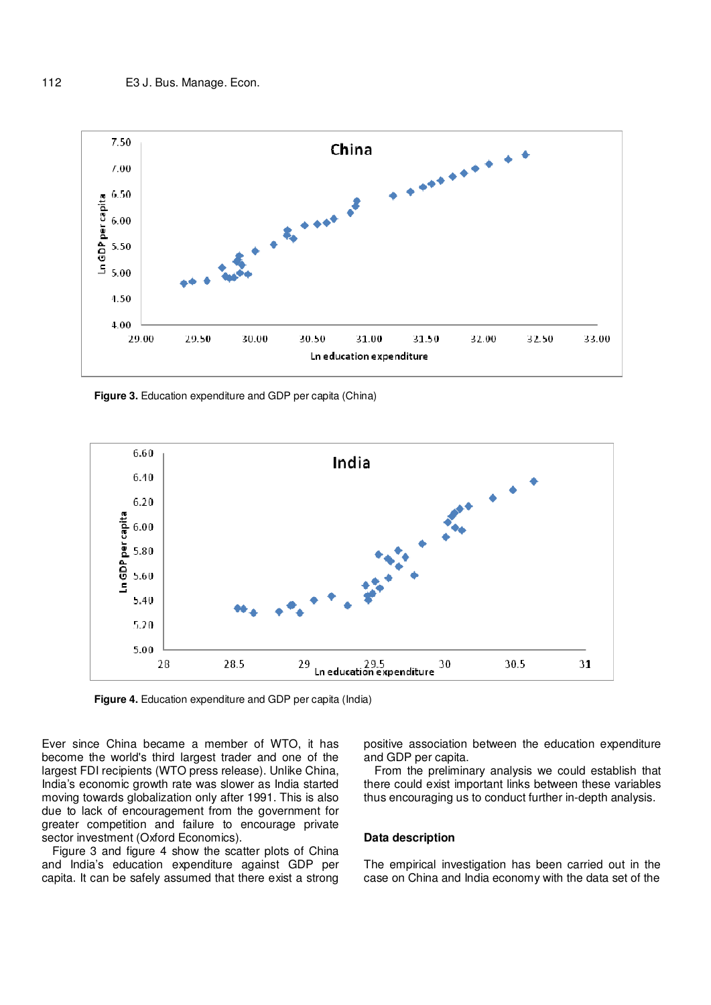

**Figure 3.** Education expenditure and GDP per capita (China)



**Figure 4.** Education expenditure and GDP per capita (India)

Ever since China became a member of WTO, it has become the world's third largest trader and one of the largest FDI recipients (WTO press release). Unlike China, India's economic growth rate was slower as India started moving towards globalization only after 1991. This is also due to lack of encouragement from the government for greater competition and failure to encourage private sector investment (Oxford Economics).

Figure 3 and figure 4 show the scatter plots of China and India's education expenditure against GDP per capita. It can be safely assumed that there exist a strong positive association between the education expenditure and GDP per capita.

From the preliminary analysis we could establish that there could exist important links between these variables thus encouraging us to conduct further in-depth analysis.

#### **Data description**

The empirical investigation has been carried out in the case on China and India economy with the data set of the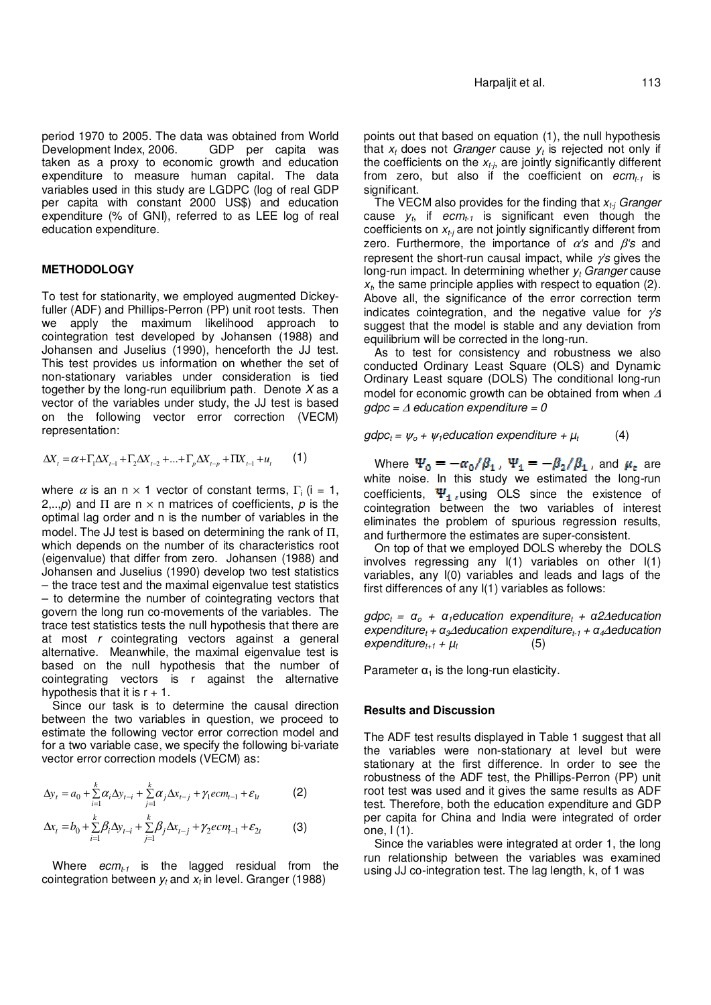period 1970 to 2005. The data was obtained from World Development Index, 2006. GDP per capita was taken as a proxy to economic growth and education expenditure to measure human capital. The data variables used in this study are LGDPC (log of real GDP per capita with constant 2000 US\$) and education expenditure (% of GNI), referred to as LEE log of real education expenditure.

# **METHODOLOGY**

To test for stationarity, we employed augmented Dickeyfuller (ADF) and Phillips-Perron (PP) unit root tests. Then we apply the maximum likelihood approach to cointegration test developed by Johansen (1988) and Johansen and Juselius (1990), henceforth the JJ test. This test provides us information on whether the set of non-stationary variables under consideration is tied together by the long-run equilibrium path. Denote  $X$  as a vector of the variables under study, the JJ test is based on the following vector error correction (VECM) representation:

$$
\Delta X_{t} = \alpha + \Gamma_{1} \Delta X_{t-1} + \Gamma_{2} \Delta X_{t-2} + \dots + \Gamma_{p} \Delta X_{t-p} + \Pi X_{t-1} + u_{t} \qquad (1)
$$

where  $\alpha$  is an n × 1 vector of constant terms,  $\Gamma_i$  (i = 1, 2,..,p) and  $\Pi$  are  $n \times n$  matrices of coefficients, p is the optimal lag order and n is the number of variables in the model. The JJ test is based on determining the rank of Π, which depends on the number of its characteristics root (eigenvalue) that differ from zero. Johansen (1988) and Johansen and Juselius (1990) develop two test statistics – the trace test and the maximal eigenvalue test statistics – to determine the number of cointegrating vectors that govern the long run co-movements of the variables. The trace test statistics tests the null hypothesis that there are at most r cointegrating vectors against a general alternative. Meanwhile, the maximal eigenvalue test is based on the null hypothesis that the number of cointegrating vectors is r against the alternative hypothesis that it is  $r + 1$ .

Since our task is to determine the causal direction between the two variables in question, we proceed to estimate the following vector error correction model and for a two variable case, we specify the following bi-variate vector error correction models (VECM) as:

$$
\Delta y_t = a_0 + \sum_{i=1}^k \alpha_i \Delta y_{t-i} + \sum_{j=1}^k \alpha_j \Delta x_{t-j} + \gamma_1 e cm_{t-1} + \varepsilon_{1t}
$$
 (2)

$$
\Delta x_t = b_0 + \sum_{i=1}^k \beta_i \Delta y_{t-i} + \sum_{j=1}^k \beta_j \Delta x_{t-j} + \gamma_2 e c m_{-1} + \varepsilon_{2t}
$$
 (3)

Where  $ecm_{t1}$  is the lagged residual from the cointegration between  $y_t$  and  $x_t$  in level. Granger (1988)

points out that based on equation (1), the null hypothesis that  $x_t$  does not *Granger* cause  $y_t$  is rejected not only if the coefficients on the  $x_{t-i}$ , are jointly significantly different from zero, but also if the coefficient on  $ecm_{t-1}$  is significant.

The VECM also provides for the finding that  $x_{t}$  Granger cause  $y_t$ , if ecm<sub>t-1</sub> is significant even though the coefficients on  $x_{t}$  are not jointly significantly different from zero. Furthermore, the importance of  $\alpha$ 's and  $\beta$ 's and represent the short-run causal impact, while  $\gamma$ 's gives the long-run impact. In determining whether  $y_t$  Granger cause  $x<sub>t</sub>$ , the same principle applies with respect to equation (2). Above all, the significance of the error correction term indicates cointegration, and the negative value for  $\gamma s$ suggest that the model is stable and any deviation from equilibrium will be corrected in the long-run.

As to test for consistency and robustness we also conducted Ordinary Least Square (OLS) and Dynamic Ordinary Least square (DOLS) The conditional long-run model for economic growth can be obtained from when <sup>∆</sup>  $q$ dpc =  $\triangle$  education expenditure = 0

 $gdpc_t = \psi_o + \psi_t$ education expenditure +  $\mu_t$  (4)

Where  $\Psi_0 = -\alpha_0/\beta_1$ ,  $\Psi_1 = -\beta_2/\beta_1$ , and  $\mu_t$  are white noise. In this study we estimated the long-run coefficients,  $\Psi_1$ , using OLS since the existence of cointegration between the two variables of interest eliminates the problem of spurious regression results, and furthermore the estimates are super-consistent.

On top of that we employed DOLS whereby the DOLS involves regressing any I(1) variables on other I(1) variables, any I(0) variables and leads and lags of the first differences of any I(1) variables as follows:

 $gdpc_t = \alpha_o + \alpha_1$ education expenditure<sub>t</sub> +  $\alpha_2\Delta$ education  $e$ *xpenditure<sub>t</sub>* +  $\alpha_3\Delta$ education expenditure<sub>t-1</sub> +  $\alpha_4\Delta$ education  $expenditure_{t+1} + \mu_t$  (5)

Parameter  $\alpha_1$  is the long-run elasticity.

### **Results and Discussion**

The ADF test results displayed in Table 1 suggest that all the variables were non-stationary at level but were stationary at the first difference. In order to see the robustness of the ADF test, the Phillips-Perron (PP) unit root test was used and it gives the same results as ADF test. Therefore, both the education expenditure and GDP per capita for China and India were integrated of order one, I (1).

Since the variables were integrated at order 1, the long run relationship between the variables was examined using JJ co-integration test. The lag length, k, of 1 was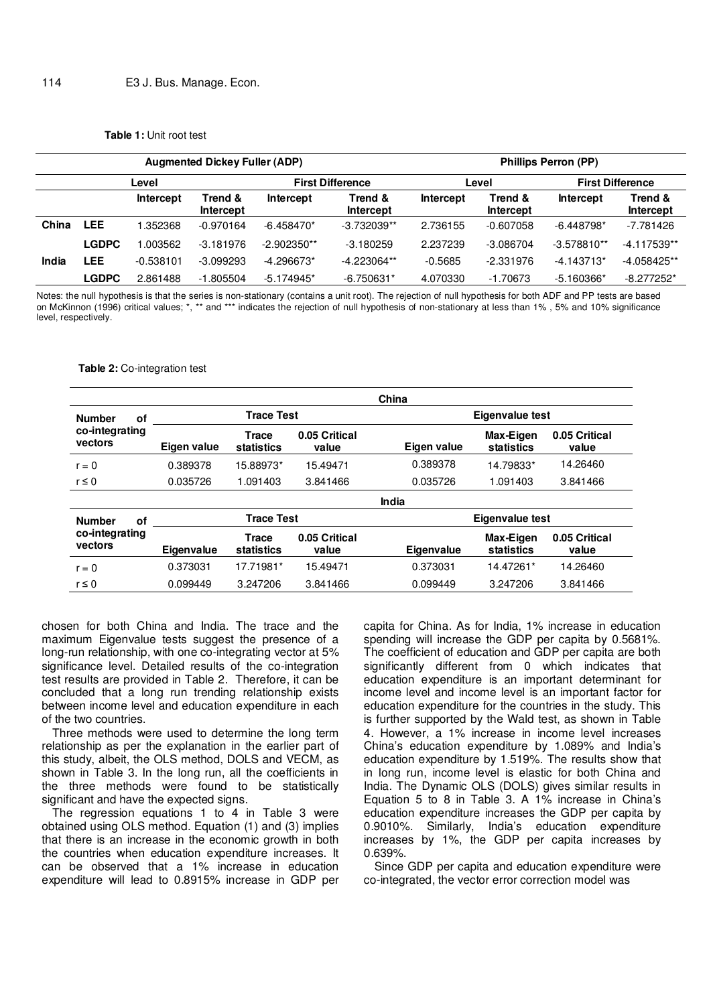|  | <b>Table 1: Unit root test</b> |  |  |  |  |  |
|--|--------------------------------|--|--|--|--|--|
|--|--------------------------------|--|--|--|--|--|

|       |              |                  | <b>Augmented Dickey Fuller (ADP)</b> |               | <b>Phillips Perron (PP)</b> |           |                         |               |                             |
|-------|--------------|------------------|--------------------------------------|---------------|-----------------------------|-----------|-------------------------|---------------|-----------------------------|
|       | Level        |                  | <b>First Difference</b>              |               | Level                       |           | <b>First Difference</b> |               |                             |
|       |              | <b>Intercept</b> | Trend &<br>Intercept                 | Intercept     | Trend &<br>Intercept        | Intercept | Trend &<br>Intercept    | Intercept     | Trend &<br><b>Intercept</b> |
| China | <b>LEE</b>   | .352368          | $-0.970164$                          | $-6.458470*$  | $-3.732039**$               | 2.736155  | $-0.607058$             | $-6.448798*$  | $-7.781426$                 |
|       | <b>LGDPC</b> | .003562          | $-3.181976$                          | $-2.902350**$ | $-3.180259$                 | 2.237239  | $-3.086704$             | $-3.578810**$ | $-4.117539**$               |
| India | LEE          | $-0.538101$      | $-3.099293$                          | $-4.296673*$  | $-4.223064**$               | $-0.5685$ | $-2.331976$             | $-4.143713*$  | $-4.058425**$               |
|       | LGDPC        | 2.861488         | $-1.805504$                          | $-5.174945*$  | $-6.750631*$                | 4.070330  | $-1.70673$              | $-5.160366*$  | $-8.277252*$                |

Notes: the null hypothesis is that the series is non-stationary (contains a unit root). The rejection of null hypothesis for both ADF and PP tests are based on McKinnon (1996) critical values; \*, \*\* and \*\*\* indicates the rejection of null hypothesis of non-stationary at less than 1% , 5% and 10% significance level, respectively.

#### **Table 2:** Co-integration test

|                                                  |                   |                     |                        | China                  |                         |                        |  |
|--------------------------------------------------|-------------------|---------------------|------------------------|------------------------|-------------------------|------------------------|--|
| <b>Number</b><br>οf                              |                   | <b>Trace Test</b>   |                        |                        | <b>Eigenvalue test</b>  |                        |  |
| co-integrating<br>vectors                        | Eigen value       | Trace<br>statistics | 0.05 Critical<br>value | Eigen value            | Max-Eigen<br>statistics | 0.05 Critical<br>value |  |
| $r = 0$                                          | 0.389378          | 15.88973*           | 15.49471               | 0.389378               | 14.79833*               | 14.26460               |  |
| $r \leq 0$                                       | 0.035726          | 1.091403            | 3.841466               | 0.035726               | 1.091403                | 3.841466               |  |
|                                                  |                   |                     |                        | India                  |                         |                        |  |
| <b>Number</b><br>οf<br>co-integrating<br>vectors |                   | <b>Trace Test</b>   |                        | <b>Eigenvalue test</b> |                         |                        |  |
|                                                  | <b>Eigenvalue</b> | Trace<br>statistics | 0.05 Critical<br>value | <b>Eigenvalue</b>      | Max-Eigen<br>statistics | 0.05 Critical<br>value |  |
| $r = 0$                                          | 0.373031          | 17.71981*           | 15.49471               | 0.373031               | 14.47261*               | 14.26460               |  |
| $r \leq 0$                                       | 0.099449          | 3.247206            | 3.841466               | 0.099449               | 3.247206                | 3.841466               |  |

chosen for both China and India. The trace and the maximum Eigenvalue tests suggest the presence of a long-run relationship, with one co-integrating vector at 5% significance level. Detailed results of the co-integration test results are provided in Table 2. Therefore, it can be concluded that a long run trending relationship exists between income level and education expenditure in each of the two countries.

Three methods were used to determine the long term relationship as per the explanation in the earlier part of this study, albeit, the OLS method, DOLS and VECM, as shown in Table 3. In the long run, all the coefficients in the three methods were found to be statistically significant and have the expected signs.

The regression equations 1 to 4 in Table 3 were obtained using OLS method. Equation (1) and (3) implies that there is an increase in the economic growth in both the countries when education expenditure increases. It can be observed that a 1% increase in education expenditure will lead to 0.8915% increase in GDP per capita for China. As for India, 1% increase in education spending will increase the GDP per capita by 0.5681%. The coefficient of education and GDP per capita are both significantly different from 0 which indicates that education expenditure is an important determinant for income level and income level is an important factor for education expenditure for the countries in the study. This is further supported by the Wald test, as shown in Table 4. However, a 1% increase in income level increases China's education expenditure by 1.089% and India's education expenditure by 1.519%. The results show that in long run, income level is elastic for both China and India. The Dynamic OLS (DOLS) gives similar results in Equation 5 to 8 in Table 3. A 1% increase in China's education expenditure increases the GDP per capita by 0.9010%. Similarly, India's education expenditure increases by 1%, the GDP per capita increases by 0.639%.

Since GDP per capita and education expenditure were co-integrated, the vector error correction model was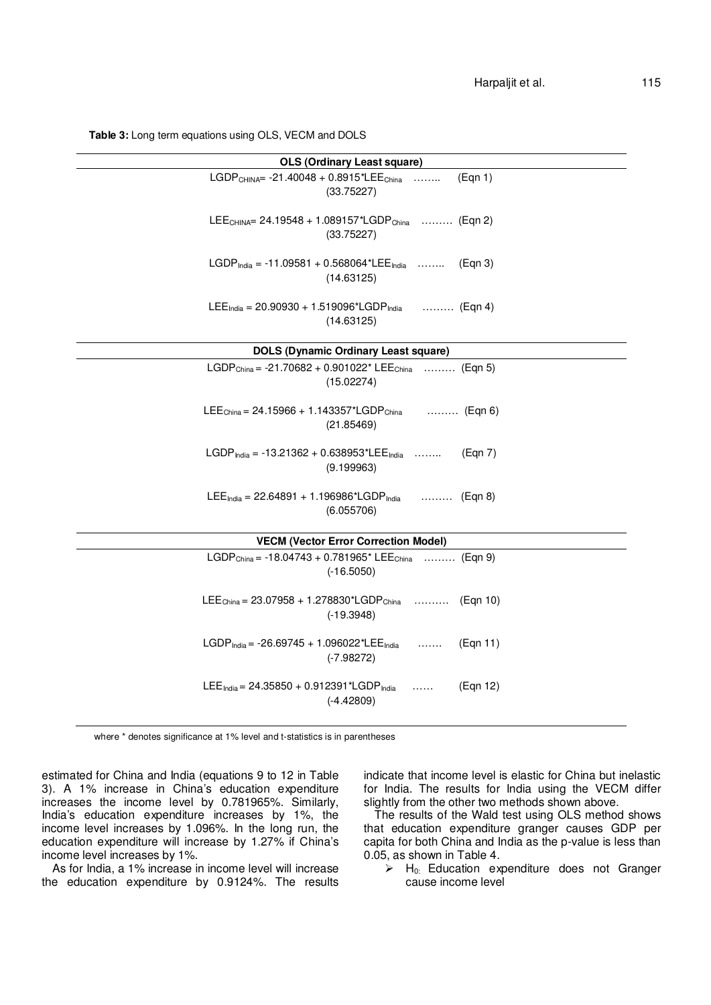**Table 3:** Long term equations using OLS, VECM and DOLS

| <b>OLS (Ordinary Least square)</b>                                                                       |
|----------------------------------------------------------------------------------------------------------|
| LGDP <sub>CHINA</sub> = $-21.40048 + 0.8915$ <sup>*</sup> LEE <sub>China</sub><br>(Eqn 1)<br>(33.75227)  |
| LEE <sub>CHINA</sub> = 24.19548 + 1.089157*LGDP <sub>China</sub> (Eqn 2)<br>(33.75227)                   |
| LGDP <sub>India</sub> = -11.09581 + 0.568064*LEE <sub>India</sub><br>(Eqn 3)<br>(14.63125)               |
| $LEE_{\text{India}} = 20.90930 + 1.519096 \text{ * } LGDP_{\text{India}}$<br>………(Eqn 4)<br>(14.63125)    |
| <b>DOLS (Dynamic Ordinary Least square)</b>                                                              |
| LGDP <sub>China</sub> = -21.70682 + 0.901022 <sup>*</sup> LEE <sub>China</sub> (Eqn 5)<br>(15.02274)     |
| $LEE_{\text{China}} = 24.15966 + 1.143357 \text{*}LGDP_{\text{China}}$<br>(Eqn 6)<br>(21.85469)          |
| LGDP <sub>India</sub> = -13.21362 + 0.638953*LEE <sub>India</sub><br>(Eqn 7)<br>(9.199963)               |
| $LEE_{India} = 22.64891 + 1.196986*LGDPIndia$<br>(Eqn 8)<br>(6.055706)                                   |
| <b>VECM (Vector Error Correction Model)</b>                                                              |
| LGDP <sub>China</sub> = $-18.04743 + 0.781965$ <sup>*</sup> LEE <sub>China</sub> (Eqn 9)<br>$(-16.5050)$ |
| LEE <sub>China</sub> = $23.07958 + 1.278830*LGDPChina$<br>(Egn 10)<br>$(-19.3948)$                       |
| LGDP <sub>India</sub> = -26.69745 + 1.096022*LEE <sub>India</sub><br>(Eqn 11)<br>$(-7.98272)$            |
| LEE <sub>India</sub> = 24.35850 + 0.912391*LGDP <sub>India</sub><br>(Egn 12)<br>.<br>$(-4.42809)$        |

where \* denotes significance at 1% level and t-statistics is in parentheses

estimated for China and India (equations 9 to 12 in Table 3). A 1% increase in China's education expenditure increases the income level by 0.781965%. Similarly, India's education expenditure increases by 1%, the income level increases by 1.096%. In the long run, the education expenditure will increase by 1.27% if China's income level increases by 1%.

As for India, a 1% increase in income level will increase the education expenditure by 0.9124%. The results indicate that income level is elastic for China but inelastic for India. The results for India using the VECM differ slightly from the other two methods shown above.

The results of the Wald test using OLS method shows that education expenditure granger causes GDP per capita for both China and India as the p-value is less than 0.05, as shown in Table 4.

 $\overrightarrow{P}$  H<sub>0:</sub> Education expenditure does not Granger cause income level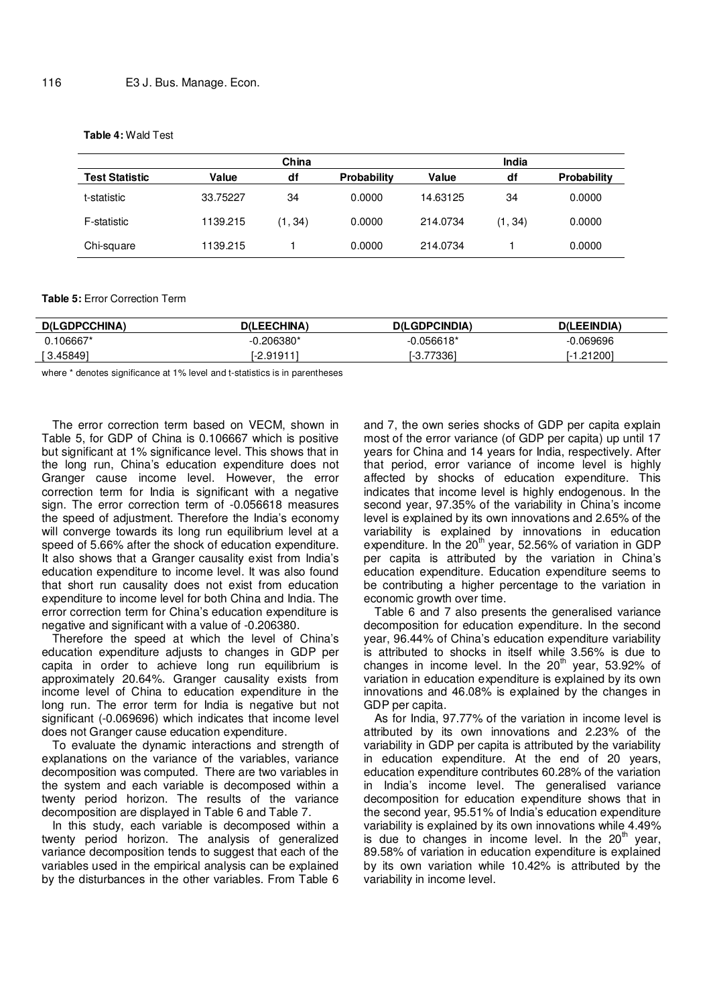### **Table 4:** Wald Test

|                       |          | China   |                    |          | India   |                    |
|-----------------------|----------|---------|--------------------|----------|---------|--------------------|
| <b>Test Statistic</b> | Value    | df      | <b>Probability</b> | Value    | df      | <b>Probability</b> |
| t-statistic           | 33.75227 | 34      | 0.0000             | 14.63125 | 34      | 0.0000             |
| F-statistic           | 1139.215 | (1, 34) | 0.0000             | 214.0734 | (1, 34) | 0.0000             |
| Chi-square            | 1139.215 |         | 0.0000             | 214.0734 |         | 0.0000             |

#### **Table 5:** Error Correction Term

| <b>D(LGDPCCHINA)</b> | D(LEECHINA) | <b>D(LGDPCINDIA)</b> | <b>D(LEEINDIA)</b> |
|----------------------|-------------|----------------------|--------------------|
| $.106667*$           | 1.206380*   | -0.056618*           | $-0.069696$        |
| 3.458491 آ           | $-2.91911$  | 7336<br>. . ت−       | .21200'            |

where \* denotes significance at 1% level and t-statistics is in parentheses

The error correction term based on VECM, shown in Table 5, for GDP of China is 0.106667 which is positive but significant at 1% significance level. This shows that in the long run, China's education expenditure does not Granger cause income level. However, the error correction term for India is significant with a negative sign. The error correction term of -0.056618 measures the speed of adjustment. Therefore the India's economy will converge towards its long run equilibrium level at a speed of 5.66% after the shock of education expenditure. It also shows that a Granger causality exist from India's education expenditure to income level. It was also found that short run causality does not exist from education expenditure to income level for both China and India. The error correction term for China's education expenditure is negative and significant with a value of -0.206380.

Therefore the speed at which the level of China's education expenditure adjusts to changes in GDP per capita in order to achieve long run equilibrium is approximately 20.64%. Granger causality exists from income level of China to education expenditure in the long run. The error term for India is negative but not significant (-0.069696) which indicates that income level does not Granger cause education expenditure.

To evaluate the dynamic interactions and strength of explanations on the variance of the variables, variance decomposition was computed. There are two variables in the system and each variable is decomposed within a twenty period horizon. The results of the variance decomposition are displayed in Table 6 and Table 7.

In this study, each variable is decomposed within a twenty period horizon. The analysis of generalized variance decomposition tends to suggest that each of the variables used in the empirical analysis can be explained by the disturbances in the other variables. From Table 6

and 7, the own series shocks of GDP per capita explain most of the error variance (of GDP per capita) up until 17 years for China and 14 years for India, respectively. After that period, error variance of income level is highly affected by shocks of education expenditure. This indicates that income level is highly endogenous. In the second year, 97.35% of the variability in China's income level is explained by its own innovations and 2.65% of the variability is explained by innovations in education expenditure. In the  $20<sup>th</sup>$  year, 52.56% of variation in GDP per capita is attributed by the variation in China's education expenditure. Education expenditure seems to be contributing a higher percentage to the variation in economic growth over time.

Table 6 and 7 also presents the generalised variance decomposition for education expenditure. In the second year, 96.44% of China's education expenditure variability is attributed to shocks in itself while 3.56% is due to changes in income level. In the  $20<sup>th</sup>$  year, 53.92% of variation in education expenditure is explained by its own innovations and 46.08% is explained by the changes in GDP per capita.

As for India, 97.77% of the variation in income level is attributed by its own innovations and 2.23% of the variability in GDP per capita is attributed by the variability in education expenditure. At the end of 20 years, education expenditure contributes 60.28% of the variation in India's income level. The generalised variance decomposition for education expenditure shows that in the second year, 95.51% of India's education expenditure variability is explained by its own innovations while 4.49% is due to changes in income level. In the  $20<sup>th</sup>$  year, 89.58% of variation in education expenditure is explained by its own variation while 10.42% is attributed by the variability in income level.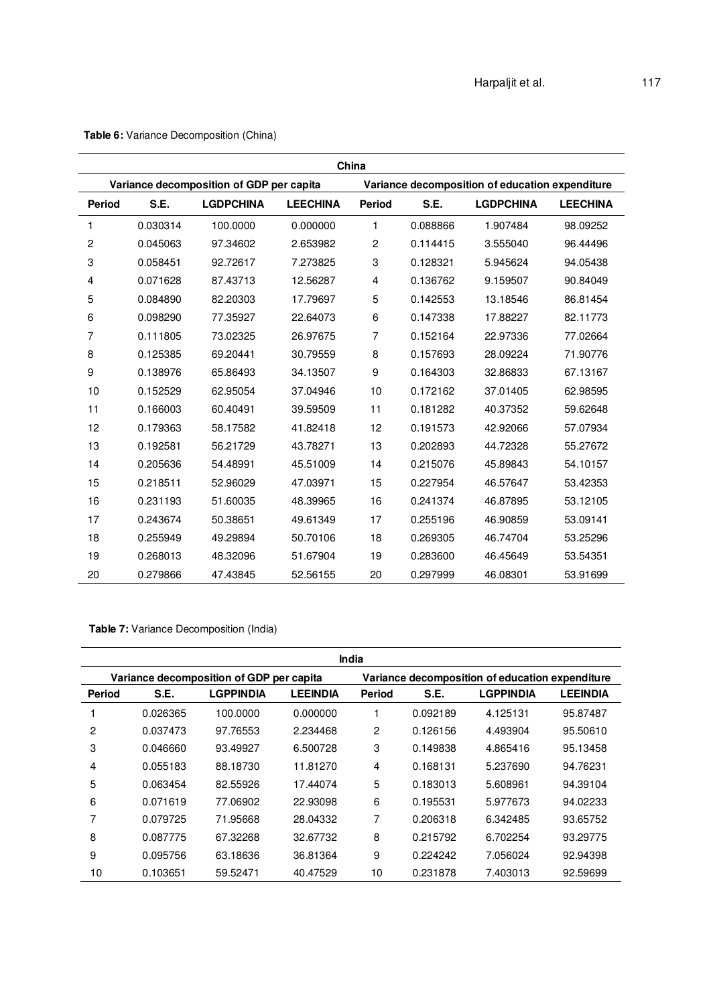|                | China    |                                          |                 |                                                 |          |                  |                 |  |  |  |
|----------------|----------|------------------------------------------|-----------------|-------------------------------------------------|----------|------------------|-----------------|--|--|--|
|                |          | Variance decomposition of GDP per capita |                 | Variance decomposition of education expenditure |          |                  |                 |  |  |  |
| <b>Period</b>  | S.E.     | <b>LGDPCHINA</b>                         | <b>LEECHINA</b> | <b>Period</b>                                   | S.E.     | <b>LGDPCHINA</b> | <b>LEECHINA</b> |  |  |  |
| 1              | 0.030314 | 100.0000                                 | 0.000000        | 1                                               | 0.088866 | 1.907484         | 98.09252        |  |  |  |
| $\overline{c}$ | 0.045063 | 97.34602                                 | 2.653982        | 2                                               | 0.114415 | 3.555040         | 96.44496        |  |  |  |
| 3              | 0.058451 | 92.72617                                 | 7.273825        | 3                                               | 0.128321 | 5.945624         | 94.05438        |  |  |  |
| 4              | 0.071628 | 87.43713                                 | 12.56287        | 4                                               | 0.136762 | 9.159507         | 90.84049        |  |  |  |
| 5              | 0.084890 | 82.20303                                 | 17.79697        | 5                                               | 0.142553 | 13.18546         | 86.81454        |  |  |  |
| 6              | 0.098290 | 77.35927                                 | 22.64073        | 6                                               | 0.147338 | 17.88227         | 82.11773        |  |  |  |
| 7              | 0.111805 | 73.02325                                 | 26.97675        | 7                                               | 0.152164 | 22.97336         | 77.02664        |  |  |  |
| 8              | 0.125385 | 69.20441                                 | 30.79559        | 8                                               | 0.157693 | 28.09224         | 71.90776        |  |  |  |
| 9              | 0.138976 | 65.86493                                 | 34.13507        | 9                                               | 0.164303 | 32.86833         | 67.13167        |  |  |  |
| 10             | 0.152529 | 62.95054                                 | 37.04946        | 10                                              | 0.172162 | 37.01405         | 62.98595        |  |  |  |
| 11             | 0.166003 | 60.40491                                 | 39.59509        | 11                                              | 0.181282 | 40.37352         | 59.62648        |  |  |  |
| 12             | 0.179363 | 58.17582                                 | 41.82418        | 12                                              | 0.191573 | 42.92066         | 57.07934        |  |  |  |
| 13             | 0.192581 | 56.21729                                 | 43.78271        | 13                                              | 0.202893 | 44.72328         | 55.27672        |  |  |  |
| 14             | 0.205636 | 54.48991                                 | 45.51009        | 14                                              | 0.215076 | 45.89843         | 54.10157        |  |  |  |
| 15             | 0.218511 | 52.96029                                 | 47.03971        | 15                                              | 0.227954 | 46.57647         | 53.42353        |  |  |  |
| 16             | 0.231193 | 51.60035                                 | 48.39965        | 16                                              | 0.241374 | 46.87895         | 53.12105        |  |  |  |
| 17             | 0.243674 | 50.38651                                 | 49.61349        | 17                                              | 0.255196 | 46.90859         | 53.09141        |  |  |  |
| 18             | 0.255949 | 49.29894                                 | 50.70106        | 18                                              | 0.269305 | 46.74704         | 53.25296        |  |  |  |
| 19             | 0.268013 | 48.32096                                 | 51.67904        | 19                                              | 0.283600 | 46.45649         | 53.54351        |  |  |  |
| 20             | 0.279866 | 47.43845                                 | 52.56155        | 20                                              | 0.297999 | 46.08301         | 53.91699        |  |  |  |

**Table 6:** Variance Decomposition (China)

**Table 7:** Variance Decomposition (India)

|                | India    |                                          |                 |               |          |                                                 |                 |  |  |
|----------------|----------|------------------------------------------|-----------------|---------------|----------|-------------------------------------------------|-----------------|--|--|
|                |          | Variance decomposition of GDP per capita |                 |               |          | Variance decomposition of education expenditure |                 |  |  |
| <b>Period</b>  | S.E.     | LGPPINDIA                                | <b>LEEINDIA</b> | <b>Period</b> | S.E.     | <b>LGPPINDIA</b>                                | <b>LEEINDIA</b> |  |  |
|                | 0.026365 | 100.0000                                 | 0.000000        |               | 0.092189 | 4.125131                                        | 95.87487        |  |  |
| $\overline{c}$ | 0.037473 | 97.76553                                 | 2.234468        | 2             | 0.126156 | 4.493904                                        | 95.50610        |  |  |
| 3              | 0.046660 | 93.49927                                 | 6.500728        | 3             | 0.149838 | 4.865416                                        | 95.13458        |  |  |
| 4              | 0.055183 | 88.18730                                 | 11.81270        | 4             | 0.168131 | 5.237690                                        | 94.76231        |  |  |
| 5              | 0.063454 | 82.55926                                 | 17.44074        | 5             | 0.183013 | 5.608961                                        | 94.39104        |  |  |
| 6              | 0.071619 | 77.06902                                 | 22.93098        | 6             | 0.195531 | 5.977673                                        | 94.02233        |  |  |
| 7              | 0.079725 | 71.95668                                 | 28.04332        | 7             | 0.206318 | 6.342485                                        | 93.65752        |  |  |
| 8              | 0.087775 | 67.32268                                 | 32.67732        | 8             | 0.215792 | 6.702254                                        | 93.29775        |  |  |
| 9              | 0.095756 | 63.18636                                 | 36.81364        | 9             | 0.224242 | 7.056024                                        | 92.94398        |  |  |
| 10             | 0.103651 | 59.52471                                 | 40.47529        | 10            | 0.231878 | 7.403013                                        | 92.59699        |  |  |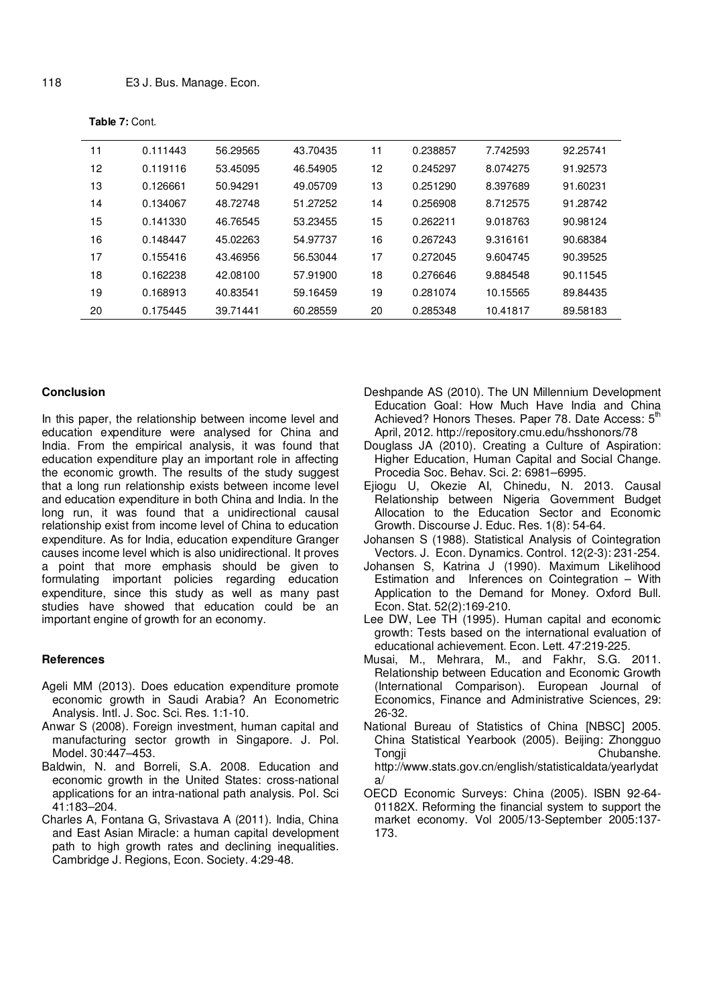| 11 | 0.111443 | 56.29565 | 43.70435 | 11 | 0.238857 | 7.742593 | 92.25741 |
|----|----------|----------|----------|----|----------|----------|----------|
| 12 | 0.119116 | 53.45095 | 46.54905 | 12 | 0.245297 | 8.074275 | 91.92573 |
| 13 | 0.126661 | 50.94291 | 49.05709 | 13 | 0.251290 | 8.397689 | 91.60231 |
| 14 | 0.134067 | 48.72748 | 51.27252 | 14 | 0.256908 | 8.712575 | 91.28742 |
| 15 | 0.141330 | 46.76545 | 53.23455 | 15 | 0.262211 | 9.018763 | 90.98124 |
| 16 | 0.148447 | 45.02263 | 54.97737 | 16 | 0.267243 | 9.316161 | 90.68384 |
| 17 | 0.155416 | 43.46956 | 56.53044 | 17 | 0.272045 | 9.604745 | 90.39525 |
| 18 | 0.162238 | 42.08100 | 57.91900 | 18 | 0.276646 | 9.884548 | 90.11545 |
| 19 | 0.168913 | 40.83541 | 59.16459 | 19 | 0.281074 | 10.15565 | 89.84435 |
| 20 | 0.175445 | 39.71441 | 60.28559 | 20 | 0.285348 | 10.41817 | 89.58183 |

**Table 7:** Cont.

#### **Conclusion**

In this paper, the relationship between income level and education expenditure were analysed for China and India. From the empirical analysis, it was found that education expenditure play an important role in affecting the economic growth. The results of the study suggest that a long run relationship exists between income level and education expenditure in both China and India. In the long run, it was found that a unidirectional causal relationship exist from income level of China to education expenditure. As for India, education expenditure Granger causes income level which is also unidirectional. It proves a point that more emphasis should be given to formulating important policies regarding education expenditure, since this study as well as many past studies have showed that education could be an important engine of growth for an economy.

### **References**

- Ageli MM (2013). Does education expenditure promote economic growth in Saudi Arabia? An Econometric Analysis. Intl. J. Soc. Sci. Res. 1:1-10.
- Anwar S (2008). Foreign investment, human capital and manufacturing sector growth in Singapore. J. Pol. Model. 30:447–453.
- Baldwin, N. and Borreli, S.A. 2008. Education and economic growth in the United States: cross-national applications for an intra-national path analysis. Pol. Sci 41:183–204.
- Charles A, Fontana G, Srivastava A (2011). India, China and East Asian Miracle: a human capital development path to high growth rates and declining inequalities. Cambridge J. Regions, Econ. Society. 4:29-48.
- Deshpande AS (2010). The UN Millennium Development Education Goal: How Much Have India and China Achieved? Honors Theses. Paper 78. Date Access: 5<sup>th</sup> April, 2012. http://repository.cmu.edu/hsshonors/78
- Douglass JA (2010). Creating a Culture of Aspiration: Higher Education, Human Capital and Social Change. Procedia Soc. Behav. Sci. 2: 6981–6995.
- Ejiogu U, Okezie AI, Chinedu, N. 2013. Causal Relationship between Nigeria Government Budget Allocation to the Education Sector and Economic Growth. Discourse J. Educ. Res. 1(8): 54-64.
- Johansen S (1988). Statistical Analysis of Cointegration Vectors. J. Econ. Dynamics. Control. 12(2-3): 231-254.
- Johansen S, Katrina J (1990). Maximum Likelihood Estimation and Inferences on Cointegration – With Application to the Demand for Money. Oxford Bull. Econ. Stat. 52(2):169-210.
- Lee DW, Lee TH (1995). Human capital and economic growth: Tests based on the international evaluation of educational achievement. Econ. Lett. 47:219-225.
- Musai, M., Mehrara, M., and Fakhr, S.G. 2011. Relationship between Education and Economic Growth (International Comparison). European Journal of Economics, Finance and Administrative Sciences, 29: 26-32.
- National Bureau of Statistics of China [NBSC] 2005. China Statistical Yearbook (2005). Beijing: Zhongguo Tongji Chubanshe. http://www.stats.gov.cn/english/statisticaldata/yearlydat a/
- OECD Economic Surveys: China (2005). ISBN 92-64- 01182X. Reforming the financial system to support the market economy. Vol 2005/13-September 2005:137- 173.